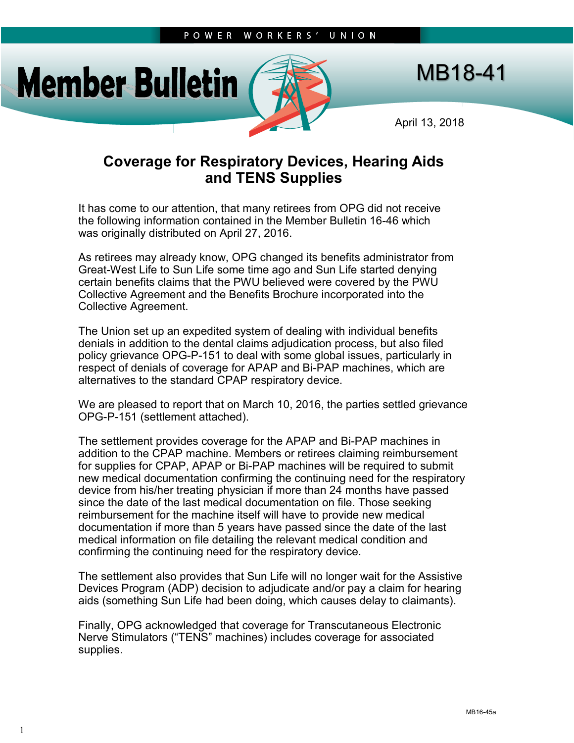

## MB18-41

April 13, 2018

## **Coverage for Respiratory Devices, Hearing Aids and TENS Supplies**

It has come to our attention, that many retirees from OPG did not receive the following information contained in the Member Bulletin 16-46 which was originally distributed on April 27, 2016.

As retirees may already know, OPG changed its benefits administrator from Great-West Life to Sun Life some time ago and Sun Life started denying certain benefits claims that the PWU believed were covered by the PWU Collective Agreement and the Benefits Brochure incorporated into the Collective Agreement.

The Union set up an expedited system of dealing with individual benefits denials in addition to the dental claims adjudication process, but also filed policy grievance OPG-P-151 to deal with some global issues, particularly in respect of denials of coverage for APAP and Bi-PAP machines, which are alternatives to the standard CPAP respiratory device.

We are pleased to report that on March 10, 2016, the parties settled grievance OPG-P-151 (settlement attached).

The settlement provides coverage for the APAP and Bi-PAP machines in addition to the CPAP machine. Members or retirees claiming reimbursement for supplies for CPAP, APAP or Bi-PAP machines will be required to submit new medical documentation confirming the continuing need for the respiratory device from his/her treating physician if more than 24 months have passed since the date of the last medical documentation on file. Those seeking reimbursement for the machine itself will have to provide new medical documentation if more than 5 years have passed since the date of the last medical information on file detailing the relevant medical condition and confirming the continuing need for the respiratory device.

The settlement also provides that Sun Life will no longer wait for the Assistive Devices Program (ADP) decision to adjudicate and/or pay a claim for hearing aids (something Sun Life had been doing, which causes delay to claimants).

Finally, OPG acknowledged that coverage for Transcutaneous Electronic Nerve Stimulators ("TENS" machines) includes coverage for associated supplies.